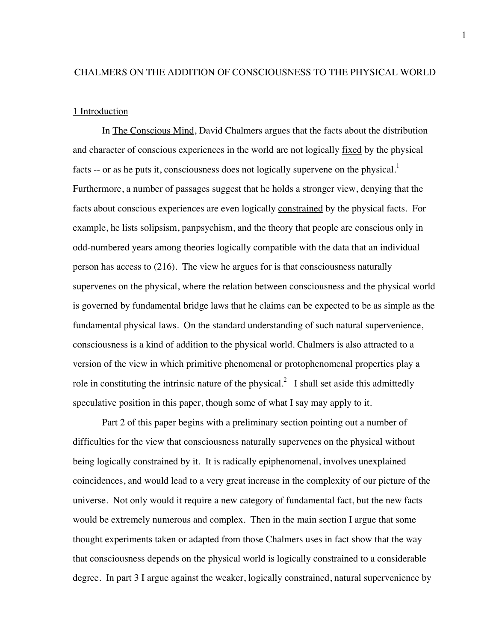## CHALMERS ON THE ADDITION OF CONSCIOUSNESS TO THE PHYSICAL WORLD

#### 1 Introduction

In The Conscious Mind, David Chalmers argues that the facts about the distribution and character of conscious experiences in the world are not logically <u>fixed</u> by the physical facts  $-$  or as he puts it, consciousness does not logically supervene on the physical.<sup>1</sup> Furthermore, a number of passages suggest that he holds a stronger view, denying that the facts about conscious experiences are even logically constrained by the physical facts. For example, he lists solipsism, panpsychism, and the theory that people are conscious only in odd-numbered years among theories logically compatible with the data that an individual person has access to (216). The view he argues for is that consciousness naturally supervenes on the physical, where the relation between consciousness and the physical world is governed by fundamental bridge laws that he claims can be expected to be as simple as the fundamental physical laws. On the standard understanding of such natural supervenience, consciousness is a kind of addition to the physical world. Chalmers is also attracted to a version of the view in which primitive phenomenal or protophenomenal properties play a role in constituting the intrinsic nature of the physical.<sup>2</sup> I shall set aside this admittedly speculative position in this paper, though some of what I say may apply to it.

Part 2 of this paper begins with a preliminary section pointing out a number of difficulties for the view that consciousness naturally supervenes on the physical without being logically constrained by it. It is radically epiphenomenal, involves unexplained coincidences, and would lead to a very great increase in the complexity of our picture of the universe. Not only would it require a new category of fundamental fact, but the new facts would be extremely numerous and complex. Then in the main section I argue that some thought experiments taken or adapted from those Chalmers uses in fact show that the way that consciousness depends on the physical world is logically constrained to a considerable degree. In part 3 I argue against the weaker, logically constrained, natural supervenience by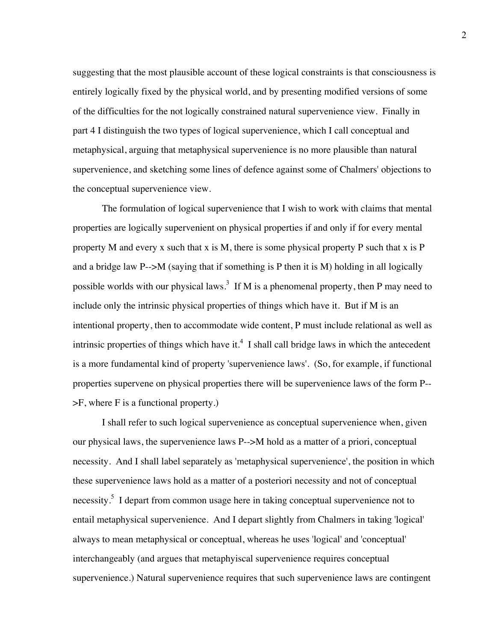suggesting that the most plausible account of these logical constraints is that consciousness is entirely logically fixed by the physical world, and by presenting modified versions of some of the difficulties for the not logically constrained natural supervenience view. Finally in part 4 I distinguish the two types of logical supervenience, which I call conceptual and metaphysical, arguing that metaphysical supervenience is no more plausible than natural supervenience, and sketching some lines of defence against some of Chalmers' objections to the conceptual supervenience view.

The formulation of logical supervenience that I wish to work with claims that mental properties are logically supervenient on physical properties if and only if for every mental property M and every x such that x is M, there is some physical property P such that x is P and a bridge law P-->M (saying that if something is P then it is M) holding in all logically possible worlds with our physical laws.<sup>3</sup> If M is a phenomenal property, then P may need to include only the intrinsic physical properties of things which have it. But if M is an intentional property, then to accommodate wide content, P must include relational as well as intrinsic properties of things which have it.<sup>4</sup> I shall call bridge laws in which the antecedent is a more fundamental kind of property 'supervenience laws'. (So, for example, if functional properties supervene on physical properties there will be supervenience laws of the form P-- >F, where F is a functional property.)

I shall refer to such logical supervenience as conceptual supervenience when, given our physical laws, the supervenience laws P-->M hold as a matter of a priori, conceptual necessity. And I shall label separately as 'metaphysical supervenience', the position in which these supervenience laws hold as a matter of a posteriori necessity and not of conceptual necessity.<sup>5</sup> I depart from common usage here in taking conceptual supervenience not to entail metaphysical supervenience. And I depart slightly from Chalmers in taking 'logical' always to mean metaphysical or conceptual, whereas he uses 'logical' and 'conceptual' interchangeably (and argues that metaphyiscal supervenience requires conceptual supervenience.) Natural supervenience requires that such supervenience laws are contingent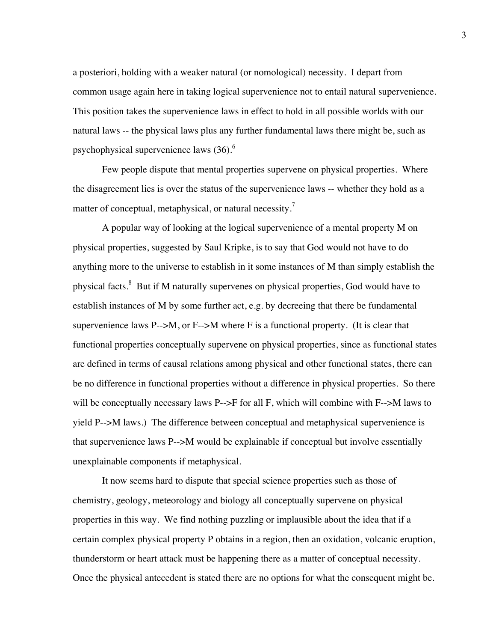a posteriori, holding with a weaker natural (or nomological) necessity. I depart from common usage again here in taking logical supervenience not to entail natural supervenience. This position takes the supervenience laws in effect to hold in all possible worlds with our natural laws -- the physical laws plus any further fundamental laws there might be, such as psychophysical supervenience laws  $(36)$ .<sup>6</sup>

Few people dispute that mental properties supervene on physical properties. Where the disagreement lies is over the status of the supervenience laws -- whether they hold as a matter of conceptual, metaphysical, or natural necessity.<sup>7</sup>

A popular way of looking at the logical supervenience of a mental property M on physical properties, suggested by Saul Kripke, is to say that God would not have to do anything more to the universe to establish in it some instances of M than simply establish the physical facts.<sup>8</sup> But if M naturally supervenes on physical properties, God would have to establish instances of M by some further act, e.g. by decreeing that there be fundamental supervenience laws P-->M, or F-->M where  $F$  is a functional property. (It is clear that functional properties conceptually supervene on physical properties, since as functional states are defined in terms of causal relations among physical and other functional states, there can be no difference in functional properties without a difference in physical properties. So there will be conceptually necessary laws P-->F for all F, which will combine with F-->M laws to yield P-->M laws.) The difference between conceptual and metaphysical supervenience is that supervenience laws P-->M would be explainable if conceptual but involve essentially unexplainable components if metaphysical.

It now seems hard to dispute that special science properties such as those of chemistry, geology, meteorology and biology all conceptually supervene on physical properties in this way. We find nothing puzzling or implausible about the idea that if a certain complex physical property P obtains in a region, then an oxidation, volcanic eruption, thunderstorm or heart attack must be happening there as a matter of conceptual necessity. Once the physical antecedent is stated there are no options for what the consequent might be.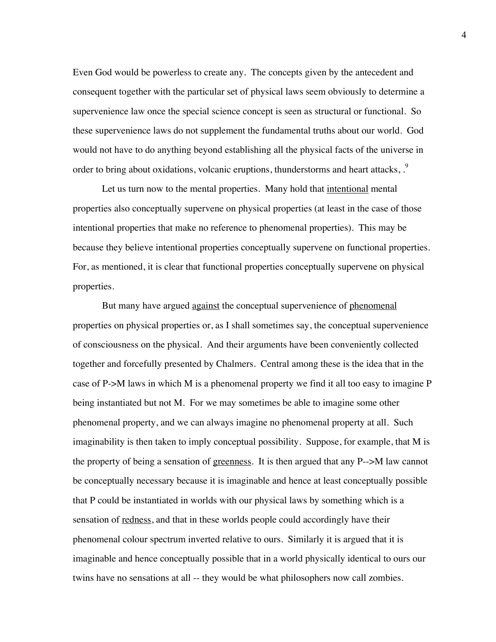Even God would be powerless to create any. The concepts given by the antecedent and consequent together with the particular set of physical laws seem obviously to determine a supervenience law once the special science concept is seen as structural or functional. So these supervenience laws do not supplement the fundamental truths about our world. God would not have to do anything beyond establishing all the physical facts of the universe in order to bring about oxidations, volcanic eruptions, thunderstorms and heart attacks, .<sup>9</sup>

Let us turn now to the mental properties. Many hold that intentional mental properties also conceptually supervene on physical properties (at least in the case of those intentional properties that make no reference to phenomenal properties). This may be because they believe intentional properties conceptually supervene on functional properties. For, as mentioned, it is clear that functional properties conceptually supervene on physical properties.

But many have argued against the conceptual supervenience of phenomenal properties on physical properties or, as I shall sometimes say, the conceptual supervenience of consciousness on the physical. And their arguments have been conveniently collected together and forcefully presented by Chalmers. Central among these is the idea that in the case of P->M laws in which M is a phenomenal property we find it all too easy to imagine P being instantiated but not M. For we may sometimes be able to imagine some other phenomenal property, and we can always imagine no phenomenal property at all. Such imaginability is then taken to imply conceptual possibility. Suppose, for example, that M is the property of being a sensation of greenness. It is then argued that any P-->M law cannot be conceptually necessary because it is imaginable and hence at least conceptually possible that P could be instantiated in worlds with our physical laws by something which is a sensation of <u>redness</u>, and that in these worlds people could accordingly have their phenomenal colour spectrum inverted relative to ours. Similarly it is argued that it is imaginable and hence conceptually possible that in a world physically identical to ours our twins have no sensations at all -- they would be what philosophers now call zombies.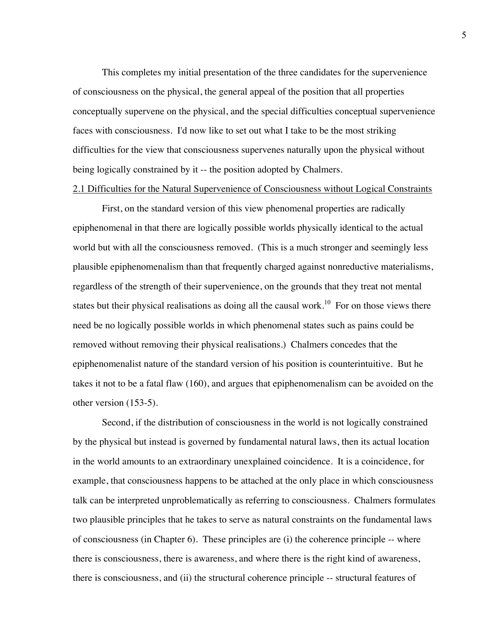This completes my initial presentation of the three candidates for the supervenience of consciousness on the physical, the general appeal of the position that all properties conceptually supervene on the physical, and the special difficulties conceptual supervenience faces with consciousness. I'd now like to set out what I take to be the most striking difficulties for the view that consciousness supervenes naturally upon the physical without being logically constrained by it -- the position adopted by Chalmers.

### 2.1 Difficulties for the Natural Supervenience of Consciousness without Logical Constraints

First, on the standard version of this view phenomenal properties are radically epiphenomenal in that there are logically possible worlds physically identical to the actual world but with all the consciousness removed. (This is a much stronger and seemingly less plausible epiphenomenalism than that frequently charged against nonreductive materialisms, regardless of the strength of their supervenience, on the grounds that they treat not mental states but their physical realisations as doing all the causal work.<sup>10</sup> For on those views there need be no logically possible worlds in which phenomenal states such as pains could be removed without removing their physical realisations.) Chalmers concedes that the epiphenomenalist nature of the standard version of his position is counterintuitive. But he takes it not to be a fatal flaw (160), and argues that epiphenomenalism can be avoided on the other version (153-5).

Second, if the distribution of consciousness in the world is not logically constrained by the physical but instead is governed by fundamental natural laws, then its actual location in the world amounts to an extraordinary unexplained coincidence. It is a coincidence, for example, that consciousness happens to be attached at the only place in which consciousness talk can be interpreted unproblematically as referring to consciousness. Chalmers formulates two plausible principles that he takes to serve as natural constraints on the fundamental laws of consciousness (in Chapter 6). These principles are (i) the coherence principle -- where there is consciousness, there is awareness, and where there is the right kind of awareness, there is consciousness, and (ii) the structural coherence principle -- structural features of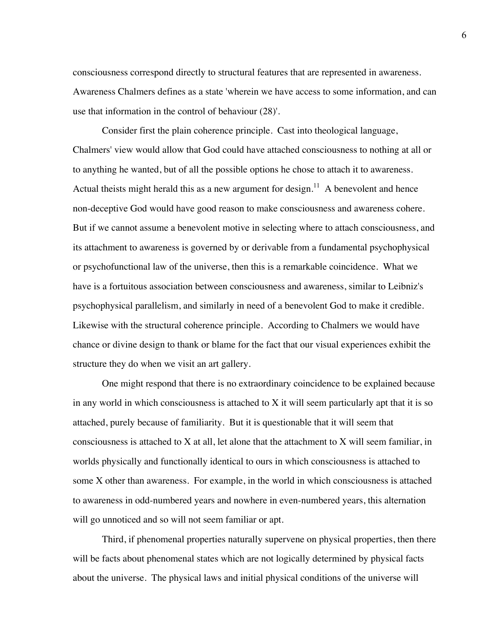consciousness correspond directly to structural features that are represented in awareness. Awareness Chalmers defines as a state 'wherein we have access to some information, and can use that information in the control of behaviour (28)'.

Consider first the plain coherence principle. Cast into theological language, Chalmers' view would allow that God could have attached consciousness to nothing at all or to anything he wanted, but of all the possible options he chose to attach it to awareness. Actual theists might herald this as a new argument for design.<sup>11</sup> A benevolent and hence non-deceptive God would have good reason to make consciousness and awareness cohere. But if we cannot assume a benevolent motive in selecting where to attach consciousness, and its attachment to awareness is governed by or derivable from a fundamental psychophysical or psychofunctional law of the universe, then this is a remarkable coincidence. What we have is a fortuitous association between consciousness and awareness, similar to Leibniz's psychophysical parallelism, and similarly in need of a benevolent God to make it credible. Likewise with the structural coherence principle. According to Chalmers we would have chance or divine design to thank or blame for the fact that our visual experiences exhibit the structure they do when we visit an art gallery.

One might respond that there is no extraordinary coincidence to be explained because in any world in which consciousness is attached to X it will seem particularly apt that it is so attached, purely because of familiarity. But it is questionable that it will seem that consciousness is attached to  $X$  at all, let alone that the attachment to  $X$  will seem familiar, in worlds physically and functionally identical to ours in which consciousness is attached to some X other than awareness. For example, in the world in which consciousness is attached to awareness in odd-numbered years and nowhere in even-numbered years, this alternation will go unnoticed and so will not seem familiar or apt.

Third, if phenomenal properties naturally supervene on physical properties, then there will be facts about phenomenal states which are not logically determined by physical facts about the universe. The physical laws and initial physical conditions of the universe will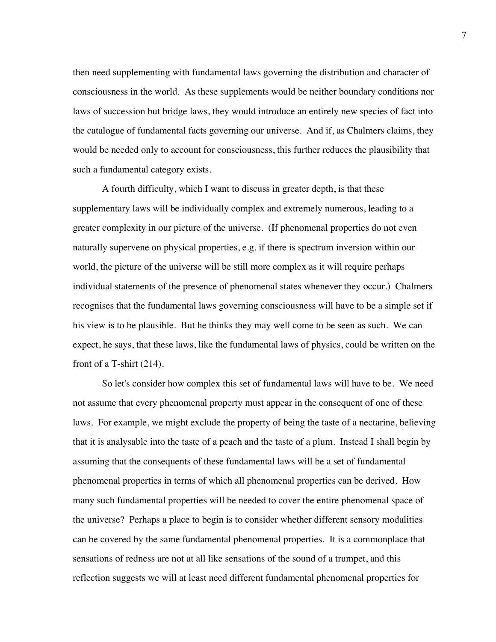then need supplementing with fundamental laws governing the distribution and character of consciousness in the world. As these supplements would be neither boundary conditions nor laws of succession but bridge laws, they would introduce an entirely new species of fact into the catalogue of fundamental facts governing our universe. And if, as Chalmers claims, they would be needed only to account for consciousness, this further reduces the plausibility that such a fundamental category exists.

A fourth difficulty, which I want to discuss in greater depth, is that these supplementary laws will be individually complex and extremely numerous, leading to a greater complexity in our picture of the universe. (If phenomenal properties do not even naturally supervene on physical properties, e.g. if there is spectrum inversion within our world, the picture of the universe will be still more complex as it will require perhaps individual statements of the presence of phenomenal states whenever they occur.) Chalmers recognises that the fundamental laws governing consciousness will have to be a simple set if his view is to be plausible. But he thinks they may well come to be seen as such. We can expect, he says, that these laws, like the fundamental laws of physics, could be written on the front of a T-shirt (214).

So let's consider how complex this set of fundamental laws will have to be. We need not assume that every phenomenal property must appear in the consequent of one of these laws. For example, we might exclude the property of being the taste of a nectarine, believing that it is analysable into the taste of a peach and the taste of a plum. Instead I shall begin by assuming that the consequents of these fundamental laws will be a set of fundamental phenomenal properties in terms of which all phenomenal properties can be derived. How many such fundamental properties will be needed to cover the entire phenomenal space of the universe? Perhaps a place to begin is to consider whether different sensory modalities can be covered by the same fundamental phenomenal properties. It is a commonplace that sensations of redness are not at all like sensations of the sound of a trumpet, and this reflection suggests we will at least need different fundamental phenomenal properties for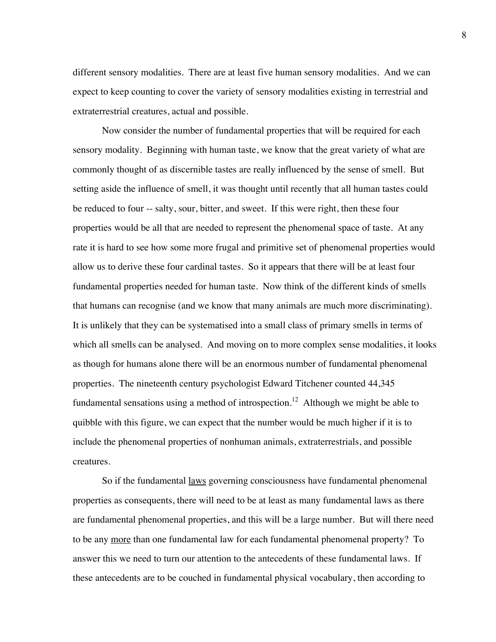different sensory modalities. There are at least five human sensory modalities. And we can expect to keep counting to cover the variety of sensory modalities existing in terrestrial and extraterrestrial creatures, actual and possible.

Now consider the number of fundamental properties that will be required for each sensory modality. Beginning with human taste, we know that the great variety of what are commonly thought of as discernible tastes are really influenced by the sense of smell. But setting aside the influence of smell, it was thought until recently that all human tastes could be reduced to four -- salty, sour, bitter, and sweet. If this were right, then these four properties would be all that are needed to represent the phenomenal space of taste. At any rate it is hard to see how some more frugal and primitive set of phenomenal properties would allow us to derive these four cardinal tastes. So it appears that there will be at least four fundamental properties needed for human taste. Now think of the different kinds of smells that humans can recognise (and we know that many animals are much more discriminating). It is unlikely that they can be systematised into a small class of primary smells in terms of which all smells can be analysed. And moving on to more complex sense modalities, it looks as though for humans alone there will be an enormous number of fundamental phenomenal properties. The nineteenth century psychologist Edward Titchener counted 44,345 fundamental sensations using a method of introspection.<sup>12</sup> Although we might be able to quibble with this figure, we can expect that the number would be much higher if it is to include the phenomenal properties of nonhuman animals, extraterrestrials, and possible creatures.

So if the fundamental laws governing consciousness have fundamental phenomenal properties as consequents, there will need to be at least as many fundamental laws as there are fundamental phenomenal properties, and this will be a large number. But will there need to be any more than one fundamental law for each fundamental phenomenal property? To answer this we need to turn our attention to the antecedents of these fundamental laws. If these antecedents are to be couched in fundamental physical vocabulary, then according to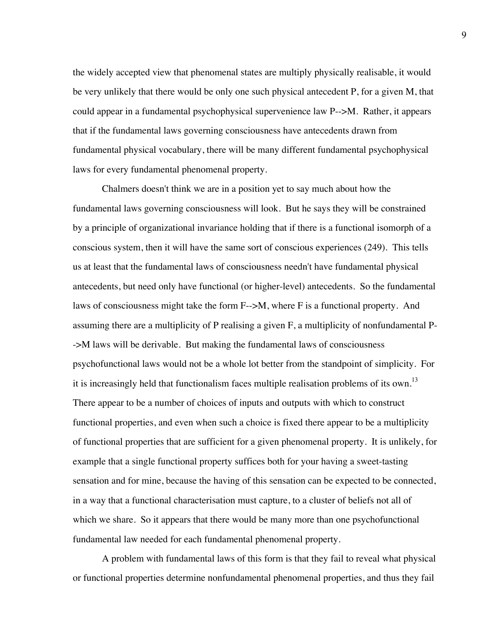the widely accepted view that phenomenal states are multiply physically realisable, it would be very unlikely that there would be only one such physical antecedent P, for a given M, that could appear in a fundamental psychophysical supervenience law P-->M. Rather, it appears that if the fundamental laws governing consciousness have antecedents drawn from fundamental physical vocabulary, there will be many different fundamental psychophysical laws for every fundamental phenomenal property.

Chalmers doesn't think we are in a position yet to say much about how the fundamental laws governing consciousness will look. But he says they will be constrained by a principle of organizational invariance holding that if there is a functional isomorph of a conscious system, then it will have the same sort of conscious experiences (249). This tells us at least that the fundamental laws of consciousness needn't have fundamental physical antecedents, but need only have functional (or higher-level) antecedents. So the fundamental laws of consciousness might take the form F-->M, where F is a functional property. And assuming there are a multiplicity of P realising a given F, a multiplicity of nonfundamental P- ->M laws will be derivable. But making the fundamental laws of consciousness psychofunctional laws would not be a whole lot better from the standpoint of simplicity. For it is increasingly held that functionalism faces multiple realisation problems of its own.<sup>13</sup> There appear to be a number of choices of inputs and outputs with which to construct functional properties, and even when such a choice is fixed there appear to be a multiplicity of functional properties that are sufficient for a given phenomenal property. It is unlikely, for example that a single functional property suffices both for your having a sweet-tasting sensation and for mine, because the having of this sensation can be expected to be connected, in a way that a functional characterisation must capture, to a cluster of beliefs not all of which we share. So it appears that there would be many more than one psychofunctional fundamental law needed for each fundamental phenomenal property.

A problem with fundamental laws of this form is that they fail to reveal what physical or functional properties determine nonfundamental phenomenal properties, and thus they fail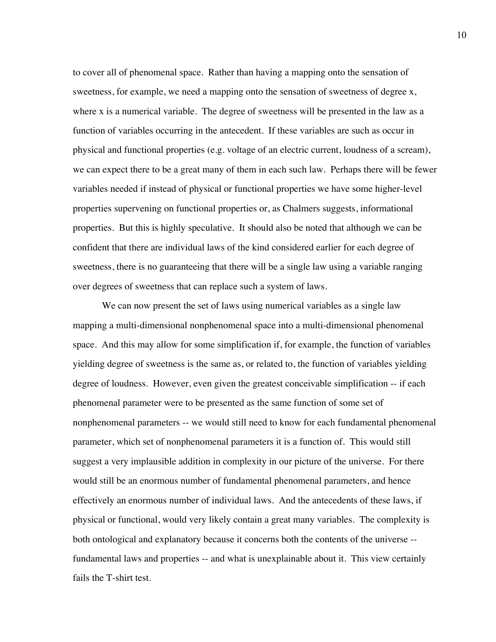to cover all of phenomenal space. Rather than having a mapping onto the sensation of sweetness, for example, we need a mapping onto the sensation of sweetness of degree x, where x is a numerical variable. The degree of sweetness will be presented in the law as a function of variables occurring in the antecedent. If these variables are such as occur in physical and functional properties (e.g. voltage of an electric current, loudness of a scream), we can expect there to be a great many of them in each such law. Perhaps there will be fewer variables needed if instead of physical or functional properties we have some higher-level properties supervening on functional properties or, as Chalmers suggests, informational properties. But this is highly speculative. It should also be noted that although we can be confident that there are individual laws of the kind considered earlier for each degree of sweetness, there is no guaranteeing that there will be a single law using a variable ranging over degrees of sweetness that can replace such a system of laws.

We can now present the set of laws using numerical variables as a single law mapping a multi-dimensional nonphenomenal space into a multi-dimensional phenomenal space. And this may allow for some simplification if, for example, the function of variables yielding degree of sweetness is the same as, or related to, the function of variables yielding degree of loudness. However, even given the greatest conceivable simplification -- if each phenomenal parameter were to be presented as the same function of some set of nonphenomenal parameters -- we would still need to know for each fundamental phenomenal parameter, which set of nonphenomenal parameters it is a function of. This would still suggest a very implausible addition in complexity in our picture of the universe. For there would still be an enormous number of fundamental phenomenal parameters, and hence effectively an enormous number of individual laws. And the antecedents of these laws, if physical or functional, would very likely contain a great many variables. The complexity is both ontological and explanatory because it concerns both the contents of the universe - fundamental laws and properties -- and what is unexplainable about it. This view certainly fails the T-shirt test.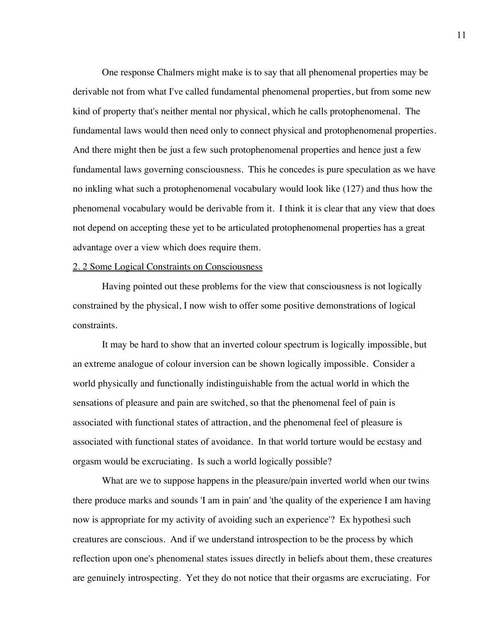One response Chalmers might make is to say that all phenomenal properties may be derivable not from what I've called fundamental phenomenal properties, but from some new kind of property that's neither mental nor physical, which he calls protophenomenal. The fundamental laws would then need only to connect physical and protophenomenal properties. And there might then be just a few such protophenomenal properties and hence just a few fundamental laws governing consciousness. This he concedes is pure speculation as we have no inkling what such a protophenomenal vocabulary would look like (127) and thus how the phenomenal vocabulary would be derivable from it. I think it is clear that any view that does not depend on accepting these yet to be articulated protophenomenal properties has a great advantage over a view which does require them.

### 2. 2 Some Logical Constraints on Consciousness

Having pointed out these problems for the view that consciousness is not logically constrained by the physical, I now wish to offer some positive demonstrations of logical constraints.

It may be hard to show that an inverted colour spectrum is logically impossible, but an extreme analogue of colour inversion can be shown logically impossible. Consider a world physically and functionally indistinguishable from the actual world in which the sensations of pleasure and pain are switched, so that the phenomenal feel of pain is associated with functional states of attraction, and the phenomenal feel of pleasure is associated with functional states of avoidance. In that world torture would be ecstasy and orgasm would be excruciating. Is such a world logically possible?

What are we to suppose happens in the pleasure/pain inverted world when our twins there produce marks and sounds 'I am in pain' and 'the quality of the experience I am having now is appropriate for my activity of avoiding such an experience'? Ex hypothesi such creatures are conscious. And if we understand introspection to be the process by which reflection upon one's phenomenal states issues directly in beliefs about them, these creatures are genuinely introspecting. Yet they do not notice that their orgasms are excruciating. For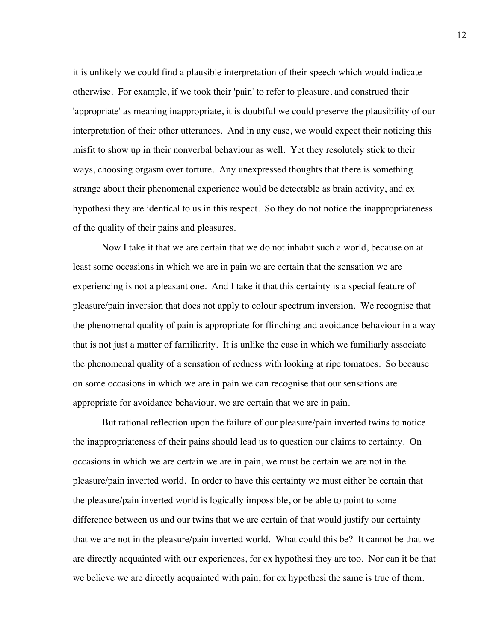it is unlikely we could find a plausible interpretation of their speech which would indicate otherwise. For example, if we took their 'pain' to refer to pleasure, and construed their 'appropriate' as meaning inappropriate, it is doubtful we could preserve the plausibility of our interpretation of their other utterances. And in any case, we would expect their noticing this misfit to show up in their nonverbal behaviour as well. Yet they resolutely stick to their ways, choosing orgasm over torture. Any unexpressed thoughts that there is something strange about their phenomenal experience would be detectable as brain activity, and ex hypothesi they are identical to us in this respect. So they do not notice the inappropriateness of the quality of their pains and pleasures.

Now I take it that we are certain that we do not inhabit such a world, because on at least some occasions in which we are in pain we are certain that the sensation we are experiencing is not a pleasant one. And I take it that this certainty is a special feature of pleasure/pain inversion that does not apply to colour spectrum inversion. We recognise that the phenomenal quality of pain is appropriate for flinching and avoidance behaviour in a way that is not just a matter of familiarity. It is unlike the case in which we familiarly associate the phenomenal quality of a sensation of redness with looking at ripe tomatoes. So because on some occasions in which we are in pain we can recognise that our sensations are appropriate for avoidance behaviour, we are certain that we are in pain.

But rational reflection upon the failure of our pleasure/pain inverted twins to notice the inappropriateness of their pains should lead us to question our claims to certainty. On occasions in which we are certain we are in pain, we must be certain we are not in the pleasure/pain inverted world. In order to have this certainty we must either be certain that the pleasure/pain inverted world is logically impossible, or be able to point to some difference between us and our twins that we are certain of that would justify our certainty that we are not in the pleasure/pain inverted world. What could this be? It cannot be that we are directly acquainted with our experiences, for ex hypothesi they are too. Nor can it be that we believe we are directly acquainted with pain, for ex hypothesi the same is true of them.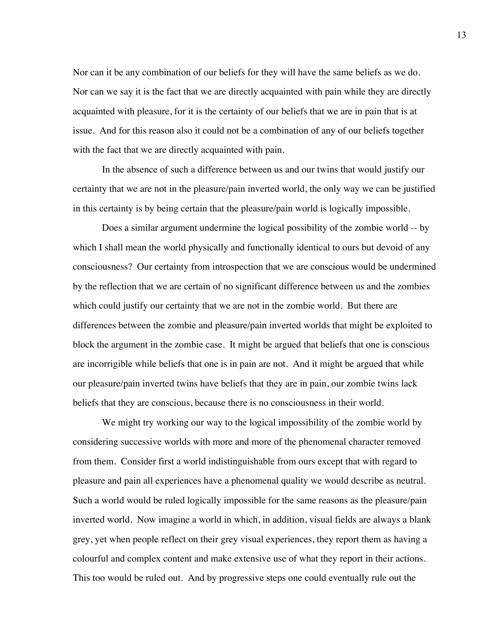Nor can it be any combination of our beliefs for they will have the same beliefs as we do. Nor can we say it is the fact that we are directly acquainted with pain while they are directly acquainted with pleasure, for it is the certainty of our beliefs that we are in pain that is at issue. And for this reason also it could not be a combination of any of our beliefs together with the fact that we are directly acquainted with pain.

In the absence of such a difference between us and our twins that would justify our certainty that we are not in the pleasure/pain inverted world, the only way we can be justified in this certainty is by being certain that the pleasure/pain world is logically impossible.

Does a similar argument undermine the logical possibility of the zombie world -- by which I shall mean the world physically and functionally identical to ours but devoid of any consciousness? Our certainty from introspection that we are conscious would be undermined by the reflection that we are certain of no significant difference between us and the zombies which could justify our certainty that we are not in the zombie world. But there are differences between the zombie and pleasure/pain inverted worlds that might be exploited to block the argument in the zombie case. It might be argued that beliefs that one is conscious are incorrigible while beliefs that one is in pain are not. And it might be argued that while our pleasure/pain inverted twins have beliefs that they are in pain, our zombie twins lack beliefs that they are conscious, because there is no consciousness in their world.

We might try working our way to the logical impossibility of the zombie world by considering successive worlds with more and more of the phenomenal character removed from them. Consider first a world indistinguishable from ours except that with regard to pleasure and pain all experiences have a phenomenal quality we would describe as neutral. Such a world would be ruled logically impossible for the same reasons as the pleasure/pain inverted world. Now imagine a world in which, in addition, visual fields are always a blank grey, yet when people reflect on their grey visual experiences, they report them as having a colourful and complex content and make extensive use of what they report in their actions. This too would be ruled out. And by progressive steps one could eventually rule out the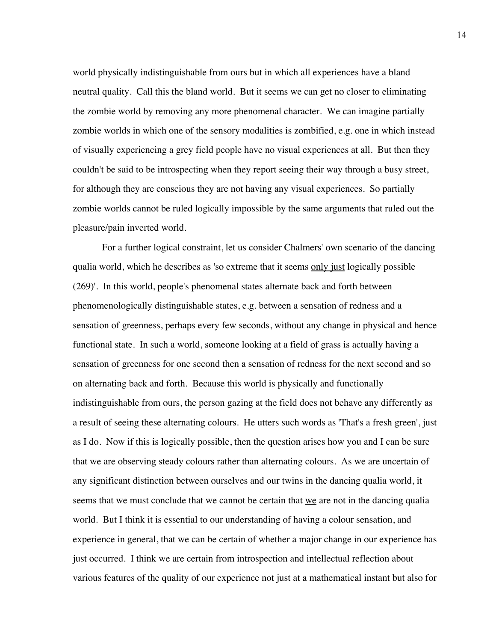world physically indistinguishable from ours but in which all experiences have a bland neutral quality. Call this the bland world. But it seems we can get no closer to eliminating the zombie world by removing any more phenomenal character. We can imagine partially zombie worlds in which one of the sensory modalities is zombified, e.g. one in which instead of visually experiencing a grey field people have no visual experiences at all. But then they couldn't be said to be introspecting when they report seeing their way through a busy street, for although they are conscious they are not having any visual experiences. So partially zombie worlds cannot be ruled logically impossible by the same arguments that ruled out the pleasure/pain inverted world.

For a further logical constraint, let us consider Chalmers' own scenario of the dancing qualia world, which he describes as 'so extreme that it seems only just logically possible (269)'. In this world, people's phenomenal states alternate back and forth between phenomenologically distinguishable states, e.g. between a sensation of redness and a sensation of greenness, perhaps every few seconds, without any change in physical and hence functional state. In such a world, someone looking at a field of grass is actually having a sensation of greenness for one second then a sensation of redness for the next second and so on alternating back and forth. Because this world is physically and functionally indistinguishable from ours, the person gazing at the field does not behave any differently as a result of seeing these alternating colours. He utters such words as 'That's a fresh green', just as I do. Now if this is logically possible, then the question arises how you and I can be sure that we are observing steady colours rather than alternating colours. As we are uncertain of any significant distinction between ourselves and our twins in the dancing qualia world, it seems that we must conclude that we cannot be certain that we are not in the dancing qualia world. But I think it is essential to our understanding of having a colour sensation, and experience in general, that we can be certain of whether a major change in our experience has just occurred. I think we are certain from introspection and intellectual reflection about various features of the quality of our experience not just at a mathematical instant but also for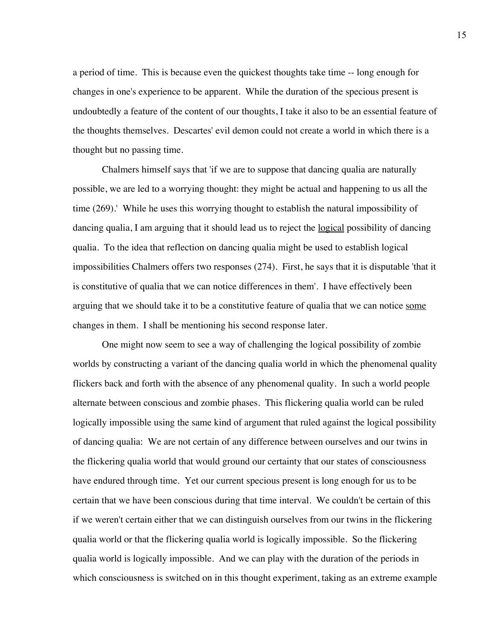a period of time. This is because even the quickest thoughts take time -- long enough for changes in one's experience to be apparent. While the duration of the specious present is undoubtedly a feature of the content of our thoughts, I take it also to be an essential feature of the thoughts themselves. Descartes' evil demon could not create a world in which there is a thought but no passing time.

Chalmers himself says that 'if we are to suppose that dancing qualia are naturally possible, we are led to a worrying thought: they might be actual and happening to us all the time (269).' While he uses this worrying thought to establish the natural impossibility of dancing qualia, I am arguing that it should lead us to reject the <u>logical</u> possibility of dancing qualia. To the idea that reflection on dancing qualia might be used to establish logical impossibilities Chalmers offers two responses (274). First, he says that it is disputable 'that it is constitutive of qualia that we can notice differences in them'. I have effectively been arguing that we should take it to be a constitutive feature of qualia that we can notice some changes in them. I shall be mentioning his second response later.

One might now seem to see a way of challenging the logical possibility of zombie worlds by constructing a variant of the dancing qualia world in which the phenomenal quality flickers back and forth with the absence of any phenomenal quality. In such a world people alternate between conscious and zombie phases. This flickering qualia world can be ruled logically impossible using the same kind of argument that ruled against the logical possibility of dancing qualia: We are not certain of any difference between ourselves and our twins in the flickering qualia world that would ground our certainty that our states of consciousness have endured through time. Yet our current specious present is long enough for us to be certain that we have been conscious during that time interval. We couldn't be certain of this if we weren't certain either that we can distinguish ourselves from our twins in the flickering qualia world or that the flickering qualia world is logically impossible. So the flickering qualia world is logically impossible. And we can play with the duration of the periods in which consciousness is switched on in this thought experiment, taking as an extreme example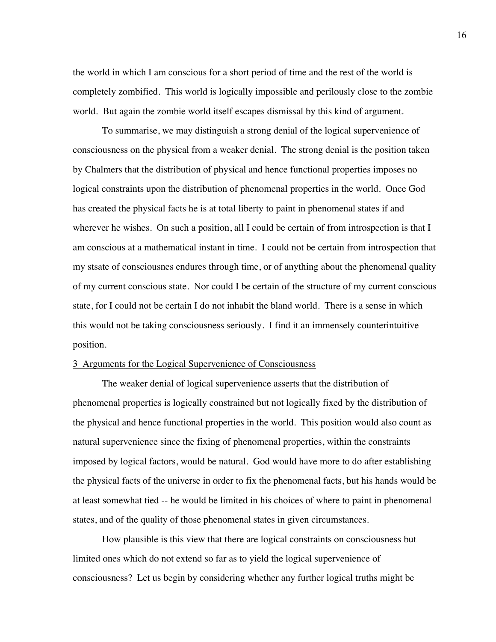the world in which I am conscious for a short period of time and the rest of the world is completely zombified. This world is logically impossible and perilously close to the zombie world. But again the zombie world itself escapes dismissal by this kind of argument.

To summarise, we may distinguish a strong denial of the logical supervenience of consciousness on the physical from a weaker denial. The strong denial is the position taken by Chalmers that the distribution of physical and hence functional properties imposes no logical constraints upon the distribution of phenomenal properties in the world. Once God has created the physical facts he is at total liberty to paint in phenomenal states if and wherever he wishes. On such a position, all I could be certain of from introspection is that I am conscious at a mathematical instant in time. I could not be certain from introspection that my stsate of consciousnes endures through time, or of anything about the phenomenal quality of my current conscious state. Nor could I be certain of the structure of my current conscious state, for I could not be certain I do not inhabit the bland world. There is a sense in which this would not be taking consciousness seriously. I find it an immensely counterintuitive position.

#### 3 Arguments for the Logical Supervenience of Consciousness

The weaker denial of logical supervenience asserts that the distribution of phenomenal properties is logically constrained but not logically fixed by the distribution of the physical and hence functional properties in the world. This position would also count as natural supervenience since the fixing of phenomenal properties, within the constraints imposed by logical factors, would be natural. God would have more to do after establishing the physical facts of the universe in order to fix the phenomenal facts, but his hands would be at least somewhat tied -- he would be limited in his choices of where to paint in phenomenal states, and of the quality of those phenomenal states in given circumstances.

How plausible is this view that there are logical constraints on consciousness but limited ones which do not extend so far as to yield the logical supervenience of consciousness? Let us begin by considering whether any further logical truths might be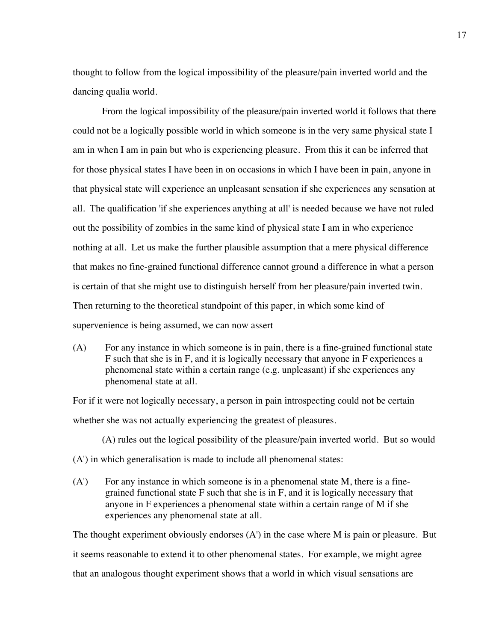thought to follow from the logical impossibility of the pleasure/pain inverted world and the dancing qualia world.

From the logical impossibility of the pleasure/pain inverted world it follows that there could not be a logically possible world in which someone is in the very same physical state I am in when I am in pain but who is experiencing pleasure. From this it can be inferred that for those physical states I have been in on occasions in which I have been in pain, anyone in that physical state will experience an unpleasant sensation if she experiences any sensation at all. The qualification 'if she experiences anything at all' is needed because we have not ruled out the possibility of zombies in the same kind of physical state I am in who experience nothing at all. Let us make the further plausible assumption that a mere physical difference that makes no fine-grained functional difference cannot ground a difference in what a person is certain of that she might use to distinguish herself from her pleasure/pain inverted twin. Then returning to the theoretical standpoint of this paper, in which some kind of supervenience is being assumed, we can now assert

(A) For any instance in which someone is in pain, there is a fine-grained functional state F such that she is in F, and it is logically necessary that anyone in F experiences a phenomenal state within a certain range (e.g. unpleasant) if she experiences any phenomenal state at all.

For if it were not logically necessary, a person in pain introspecting could not be certain whether she was not actually experiencing the greatest of pleasures.

(A) rules out the logical possibility of the pleasure/pain inverted world. But so would (A') in which generalisation is made to include all phenomenal states:

 $(A')$  For any instance in which someone is in a phenomenal state M, there is a finegrained functional state  $F$  such that she is in  $F$ , and it is logically necessary that anyone in F experiences a phenomenal state within a certain range of M if she experiences any phenomenal state at all.

The thought experiment obviously endorses (A') in the case where M is pain or pleasure. But it seems reasonable to extend it to other phenomenal states. For example, we might agree that an analogous thought experiment shows that a world in which visual sensations are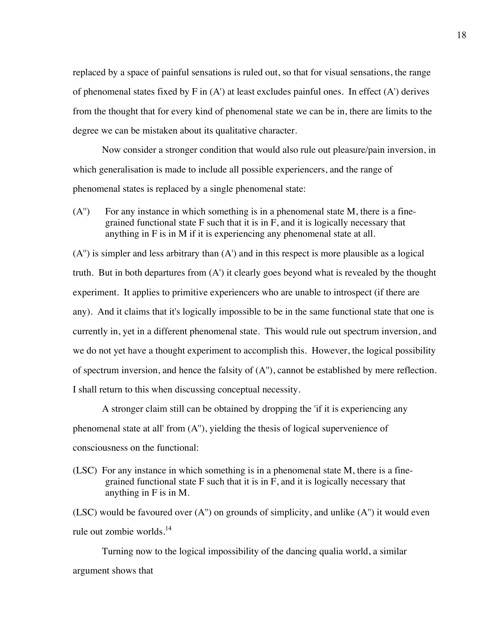replaced by a space of painful sensations is ruled out, so that for visual sensations, the range of phenomenal states fixed by  $F$  in  $(A')$  at least excludes painful ones. In effect  $(A')$  derives from the thought that for every kind of phenomenal state we can be in, there are limits to the degree we can be mistaken about its qualitative character.

Now consider a stronger condition that would also rule out pleasure/pain inversion, in which generalisation is made to include all possible experiencers, and the range of phenomenal states is replaced by a single phenomenal state:

(A'') For any instance in which something is in a phenomenal state M, there is a finegrained functional state F such that it is in F, and it is logically necessary that anything in F is in M if it is experiencing any phenomenal state at all.

(A'') is simpler and less arbitrary than (A') and in this respect is more plausible as a logical truth. But in both departures from (A') it clearly goes beyond what is revealed by the thought experiment. It applies to primitive experiencers who are unable to introspect (if there are any). And it claims that it's logically impossible to be in the same functional state that one is currently in, yet in a different phenomenal state. This would rule out spectrum inversion, and we do not yet have a thought experiment to accomplish this. However, the logical possibility of spectrum inversion, and hence the falsity of  $(A<sup>n</sup>)$ , cannot be established by mere reflection. I shall return to this when discussing conceptual necessity.

A stronger claim still can be obtained by dropping the 'if it is experiencing any phenomenal state at all' from (A''), yielding the thesis of logical supervenience of consciousness on the functional:

(LSC) For any instance in which something is in a phenomenal state M, there is a finegrained functional state F such that it is in F, and it is logically necessary that anything in F is in M.

(LSC) would be favoured over (A'') on grounds of simplicity, and unlike (A'') it would even rule out zombie worlds.<sup>14</sup>

Turning now to the logical impossibility of the dancing qualia world, a similar argument shows that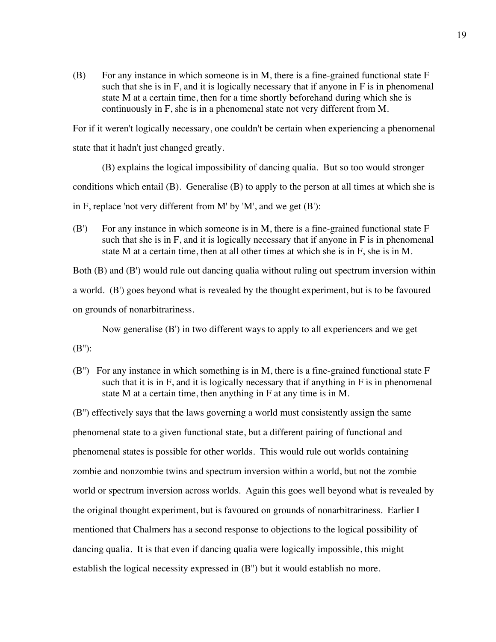$(B)$  For any instance in which someone is in M, there is a fine-grained functional state F such that she is in F, and it is logically necessary that if anyone in F is in phenomenal state M at a certain time, then for a time shortly beforehand during which she is continuously in F, she is in a phenomenal state not very different from M.

For if it weren't logically necessary, one couldn't be certain when experiencing a phenomenal state that it hadn't just changed greatly.

(B) explains the logical impossibility of dancing qualia. But so too would stronger conditions which entail (B). Generalise (B) to apply to the person at all times at which she is in F, replace 'not very different from M' by 'M', and we get  $(B')$ :

 $(B')$  For any instance in which someone is in M, there is a fine-grained functional state F such that she is in  $F$ , and it is logically necessary that if anyone in  $F$  is in phenomenal state M at a certain time, then at all other times at which she is in F, she is in M.

Both (B) and (B') would rule out dancing qualia without ruling out spectrum inversion within a world. (B') goes beyond what is revealed by the thought experiment, but is to be favoured on grounds of nonarbitrariness.

Now generalise (B') in two different ways to apply to all experiencers and we get

(B''):

 $(B'')$  For any instance in which something is in M, there is a fine-grained functional state F such that it is in  $F$ , and it is logically necessary that if anything in  $F$  is in phenomenal state M at a certain time, then anything in F at any time is in M.

(B'') effectively says that the laws governing a world must consistently assign the same phenomenal state to a given functional state, but a different pairing of functional and phenomenal states is possible for other worlds. This would rule out worlds containing zombie and nonzombie twins and spectrum inversion within a world, but not the zombie world or spectrum inversion across worlds. Again this goes well beyond what is revealed by the original thought experiment, but is favoured on grounds of nonarbitrariness. Earlier I mentioned that Chalmers has a second response to objections to the logical possibility of dancing qualia. It is that even if dancing qualia were logically impossible, this might establish the logical necessity expressed in (B'') but it would establish no more.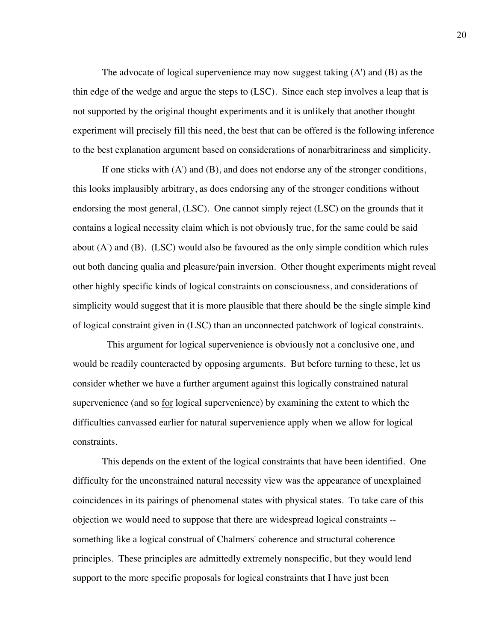The advocate of logical supervenience may now suggest taking  $(A')$  and  $(B)$  as the thin edge of the wedge and argue the steps to (LSC). Since each step involves a leap that is not supported by the original thought experiments and it is unlikely that another thought experiment will precisely fill this need, the best that can be offered is the following inference to the best explanation argument based on considerations of nonarbitrariness and simplicity.

If one sticks with (A') and (B), and does not endorse any of the stronger conditions, this looks implausibly arbitrary, as does endorsing any of the stronger conditions without endorsing the most general, (LSC). One cannot simply reject (LSC) on the grounds that it contains a logical necessity claim which is not obviously true, for the same could be said about (A') and (B). (LSC) would also be favoured as the only simple condition which rules out both dancing qualia and pleasure/pain inversion. Other thought experiments might reveal other highly specific kinds of logical constraints on consciousness, and considerations of simplicity would suggest that it is more plausible that there should be the single simple kind of logical constraint given in (LSC) than an unconnected patchwork of logical constraints.

 This argument for logical supervenience is obviously not a conclusive one, and would be readily counteracted by opposing arguments. But before turning to these, let us consider whether we have a further argument against this logically constrained natural supervenience (and so <u>for</u> logical supervenience) by examining the extent to which the difficulties canvassed earlier for natural supervenience apply when we allow for logical constraints.

This depends on the extent of the logical constraints that have been identified. One difficulty for the unconstrained natural necessity view was the appearance of unexplained coincidences in its pairings of phenomenal states with physical states. To take care of this objection we would need to suppose that there are widespread logical constraints - something like a logical construal of Chalmers' coherence and structural coherence principles. These principles are admittedly extremely nonspecific, but they would lend support to the more specific proposals for logical constraints that I have just been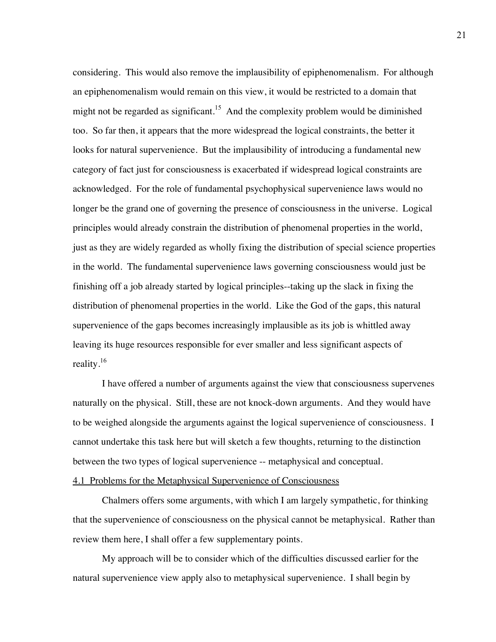considering. This would also remove the implausibility of epiphenomenalism. For although an epiphenomenalism would remain on this view, it would be restricted to a domain that might not be regarded as significant.<sup>15</sup> And the complexity problem would be diminished too. So far then, it appears that the more widespread the logical constraints, the better it looks for natural supervenience. But the implausibility of introducing a fundamental new category of fact just for consciousness is exacerbated if widespread logical constraints are acknowledged. For the role of fundamental psychophysical supervenience laws would no longer be the grand one of governing the presence of consciousness in the universe. Logical principles would already constrain the distribution of phenomenal properties in the world, just as they are widely regarded as wholly fixing the distribution of special science properties in the world. The fundamental supervenience laws governing consciousness would just be finishing off a job already started by logical principles--taking up the slack in fixing the distribution of phenomenal properties in the world. Like the God of the gaps, this natural supervenience of the gaps becomes increasingly implausible as its job is whittled away leaving its huge resources responsible for ever smaller and less significant aspects of reality. $16$ 

I have offered a number of arguments against the view that consciousness supervenes naturally on the physical. Still, these are not knock-down arguments. And they would have to be weighed alongside the arguments against the logical supervenience of consciousness. I cannot undertake this task here but will sketch a few thoughts, returning to the distinction between the two types of logical supervenience -- metaphysical and conceptual.

# 4.1 Problems for the Metaphysical Supervenience of Consciousness

Chalmers offers some arguments, with which I am largely sympathetic, for thinking that the supervenience of consciousness on the physical cannot be metaphysical. Rather than review them here, I shall offer a few supplementary points.

My approach will be to consider which of the difficulties discussed earlier for the natural supervenience view apply also to metaphysical supervenience. I shall begin by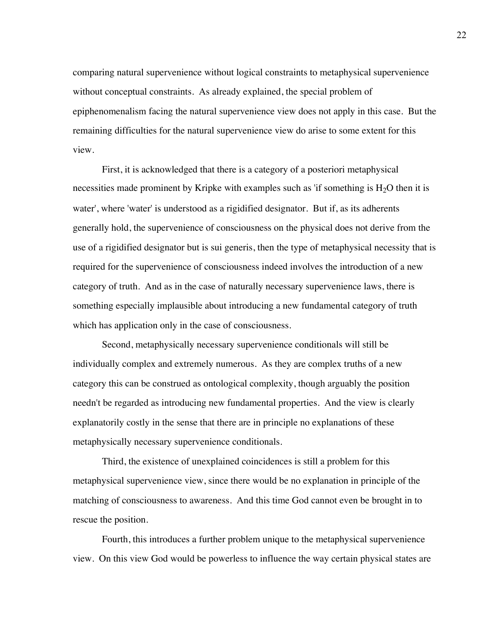comparing natural supervenience without logical constraints to metaphysical supervenience without conceptual constraints. As already explained, the special problem of epiphenomenalism facing the natural supervenience view does not apply in this case. But the remaining difficulties for the natural supervenience view do arise to some extent for this view.

First, it is acknowledged that there is a category of a posteriori metaphysical necessities made prominent by Kripke with examples such as 'if something is  $H_2O$  then it is water', where 'water' is understood as a rigidified designator. But if, as its adherents generally hold, the supervenience of consciousness on the physical does not derive from the use of a rigidified designator but is sui generis, then the type of metaphysical necessity that is required for the supervenience of consciousness indeed involves the introduction of a new category of truth. And as in the case of naturally necessary supervenience laws, there is something especially implausible about introducing a new fundamental category of truth which has application only in the case of consciousness.

Second, metaphysically necessary supervenience conditionals will still be individually complex and extremely numerous. As they are complex truths of a new category this can be construed as ontological complexity, though arguably the position needn't be regarded as introducing new fundamental properties. And the view is clearly explanatorily costly in the sense that there are in principle no explanations of these metaphysically necessary supervenience conditionals.

Third, the existence of unexplained coincidences is still a problem for this metaphysical supervenience view, since there would be no explanation in principle of the matching of consciousness to awareness. And this time God cannot even be brought in to rescue the position.

Fourth, this introduces a further problem unique to the metaphysical supervenience view. On this view God would be powerless to influence the way certain physical states are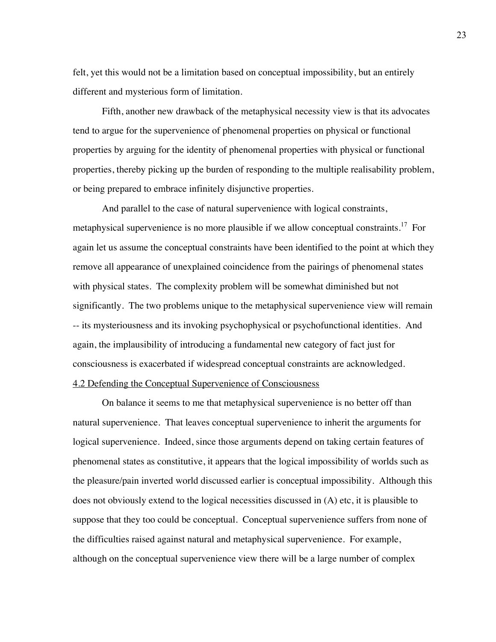felt, yet this would not be a limitation based on conceptual impossibility, but an entirely different and mysterious form of limitation.

Fifth, another new drawback of the metaphysical necessity view is that its advocates tend to argue for the supervenience of phenomenal properties on physical or functional properties by arguing for the identity of phenomenal properties with physical or functional properties, thereby picking up the burden of responding to the multiple realisability problem, or being prepared to embrace infinitely disjunctive properties.

And parallel to the case of natural supervenience with logical constraints, metaphysical supervenience is no more plausible if we allow conceptual constraints.<sup>17</sup> For again let us assume the conceptual constraints have been identified to the point at which they remove all appearance of unexplained coincidence from the pairings of phenomenal states with physical states. The complexity problem will be somewhat diminished but not significantly. The two problems unique to the metaphysical supervenience view will remain -- its mysteriousness and its invoking psychophysical or psychofunctional identities. And again, the implausibility of introducing a fundamental new category of fact just for consciousness is exacerbated if widespread conceptual constraints are acknowledged. 4.2 Defending the Conceptual Supervenience of Consciousness

On balance it seems to me that metaphysical supervenience is no better off than natural supervenience. That leaves conceptual supervenience to inherit the arguments for logical supervenience. Indeed, since those arguments depend on taking certain features of phenomenal states as constitutive, it appears that the logical impossibility of worlds such as the pleasure/pain inverted world discussed earlier is conceptual impossibility. Although this does not obviously extend to the logical necessities discussed in (A) etc, it is plausible to suppose that they too could be conceptual. Conceptual supervenience suffers from none of the difficulties raised against natural and metaphysical supervenience. For example, although on the conceptual supervenience view there will be a large number of complex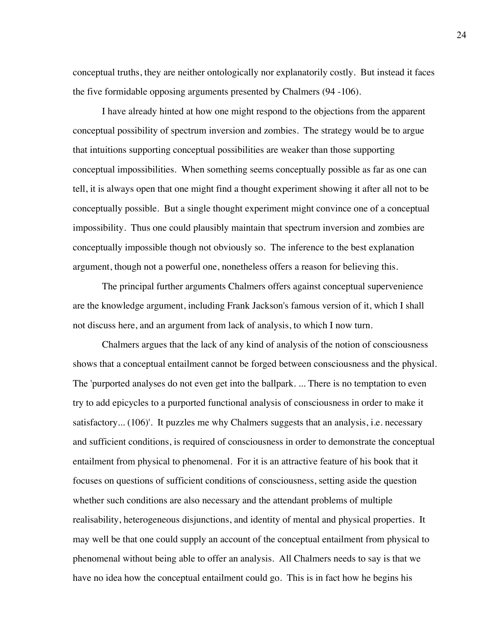conceptual truths, they are neither ontologically nor explanatorily costly. But instead it faces the five formidable opposing arguments presented by Chalmers (94 -106).

I have already hinted at how one might respond to the objections from the apparent conceptual possibility of spectrum inversion and zombies. The strategy would be to argue that intuitions supporting conceptual possibilities are weaker than those supporting conceptual impossibilities. When something seems conceptually possible as far as one can tell, it is always open that one might find a thought experiment showing it after all not to be conceptually possible. But a single thought experiment might convince one of a conceptual impossibility. Thus one could plausibly maintain that spectrum inversion and zombies are conceptually impossible though not obviously so. The inference to the best explanation argument, though not a powerful one, nonetheless offers a reason for believing this.

The principal further arguments Chalmers offers against conceptual supervenience are the knowledge argument, including Frank Jackson's famous version of it, which I shall not discuss here, and an argument from lack of analysis, to which I now turn.

Chalmers argues that the lack of any kind of analysis of the notion of consciousness shows that a conceptual entailment cannot be forged between consciousness and the physical. The 'purported analyses do not even get into the ballpark. ... There is no temptation to even try to add epicycles to a purported functional analysis of consciousness in order to make it satisfactory... (106)'. It puzzles me why Chalmers suggests that an analysis, i.e. necessary and sufficient conditions, is required of consciousness in order to demonstrate the conceptual entailment from physical to phenomenal. For it is an attractive feature of his book that it focuses on questions of sufficient conditions of consciousness, setting aside the question whether such conditions are also necessary and the attendant problems of multiple realisability, heterogeneous disjunctions, and identity of mental and physical properties. It may well be that one could supply an account of the conceptual entailment from physical to phenomenal without being able to offer an analysis. All Chalmers needs to say is that we have no idea how the conceptual entailment could go. This is in fact how he begins his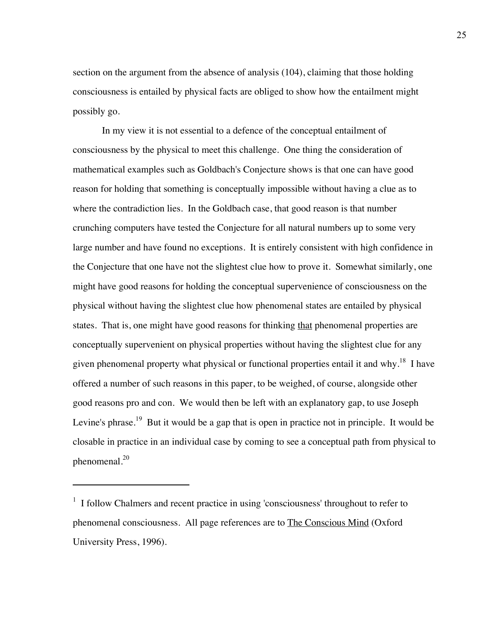section on the argument from the absence of analysis (104), claiming that those holding consciousness is entailed by physical facts are obliged to show how the entailment might possibly go.

In my view it is not essential to a defence of the conceptual entailment of consciousness by the physical to meet this challenge. One thing the consideration of mathematical examples such as Goldbach's Conjecture shows is that one can have good reason for holding that something is conceptually impossible without having a clue as to where the contradiction lies. In the Goldbach case, that good reason is that number crunching computers have tested the Conjecture for all natural numbers up to some very large number and have found no exceptions. It is entirely consistent with high confidence in the Conjecture that one have not the slightest clue how to prove it. Somewhat similarly, one might have good reasons for holding the conceptual supervenience of consciousness on the physical without having the slightest clue how phenomenal states are entailed by physical states. That is, one might have good reasons for thinking that phenomenal properties are conceptually supervenient on physical properties without having the slightest clue for any given phenomenal property what physical or functional properties entail it and why.<sup>18</sup> I have offered a number of such reasons in this paper, to be weighed, of course, alongside other good reasons pro and con. We would then be left with an explanatory gap, to use Joseph Levine's phrase.<sup>19</sup> But it would be a gap that is open in practice not in principle. It would be closable in practice in an individual case by coming to see a conceptual path from physical to phenomenal. $20$ 

 $\overline{a}$ 

<sup>&</sup>lt;sup>1</sup> I follow Chalmers and recent practice in using 'consciousness' throughout to refer to phenomenal consciousness. All page references are to The Conscious Mind (Oxford University Press, 1996).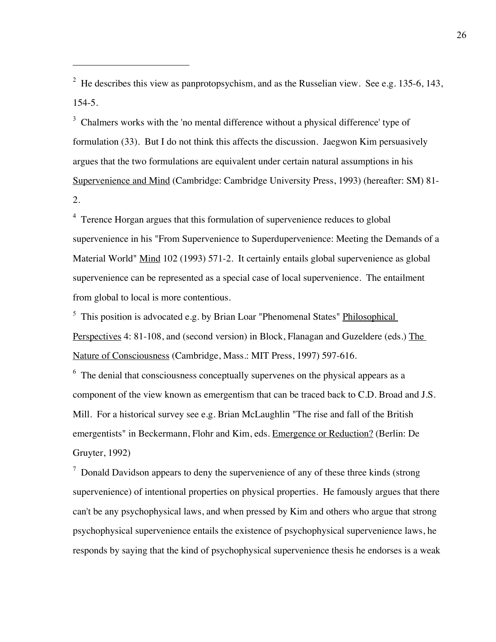<sup>2</sup> He describes this view as panprotopsychism, and as the Russelian view. See e.g. 135-6, 143, 154-5.

 $\overline{a}$ 

 $3$  Chalmers works with the 'no mental difference without a physical difference' type of formulation (33). But I do not think this affects the discussion. Jaegwon Kim persuasively argues that the two formulations are equivalent under certain natural assumptions in his Supervenience and Mind (Cambridge: Cambridge University Press, 1993) (hereafter: SM) 81- 2.

<sup>4</sup> Terence Horgan argues that this formulation of supervenience reduces to global supervenience in his "From Supervenience to Superdupervenience: Meeting the Demands of a Material World" Mind 102 (1993) 571-2. It certainly entails global supervenience as global supervenience can be represented as a special case of local supervenience. The entailment from global to local is more contentious.

<sup>5</sup> This position is advocated e.g. by Brian Loar "Phenomenal States" Philosophical Perspectives 4: 81-108, and (second version) in Block, Flanagan and Guzeldere (eds.) The Nature of Consciousness (Cambridge, Mass.: MIT Press, 1997) 597-616.

 $6$  The denial that consciousness conceptually supervenes on the physical appears as a component of the view known as emergentism that can be traced back to C.D. Broad and J.S. Mill. For a historical survey see e.g. Brian McLaughlin "The rise and fall of the British emergentists" in Beckermann, Flohr and Kim, eds. Emergence or Reduction? (Berlin: De Gruyter, 1992)

 $7$  Donald Davidson appears to deny the supervenience of any of these three kinds (strong supervenience) of intentional properties on physical properties. He famously argues that there can't be any psychophysical laws, and when pressed by Kim and others who argue that strong psychophysical supervenience entails the existence of psychophysical supervenience laws, he responds by saying that the kind of psychophysical supervenience thesis he endorses is a weak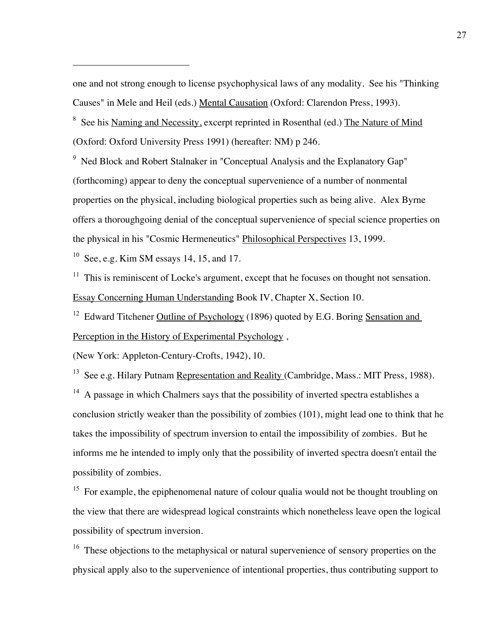one and not strong enough to license psychophysical laws of any modality. See his "Thinking Causes" in Mele and Heil (eds.) Mental Causation (Oxford: Clarendon Press, 1993).

<sup>8</sup> See his Naming and Necessity, excerpt reprinted in Rosenthal (ed.) The Nature of Mind (Oxford: Oxford University Press 1991) (hereafter: NM) p 246.

<sup>9</sup> Ned Block and Robert Stalnaker in "Conceptual Analysis and the Explanatory Gap" (forthcoming) appear to deny the conceptual supervenience of a number of nonmental properties on the physical, including biological properties such as being alive. Alex Byrne offers a thoroughgoing denial of the conceptual supervenience of special science properties on the physical in his "Cosmic Hermeneutics" Philosophical Perspectives 13, 1999.

 $10$  See, e.g. Kim SM essays 14, 15, and 17.

 $\overline{a}$ 

 $11$  This is reminiscent of Locke's argument, except that he focuses on thought not sensation. Essay Concerning Human Understanding Book IV, Chapter X, Section 10.

<sup>12</sup> Edward Titchener Outline of Psychology (1896) quoted by E.G. Boring Sensation and Perception in the History of Experimental Psychology ,

(New York: Appleton-Century-Crofts, 1942), 10.

<sup>13</sup> See e.g. Hilary Putnam Representation and Reality (Cambridge, Mass.: MIT Press, 1988).

 $14$  A passage in which Chalmers says that the possibility of inverted spectra establishes a conclusion strictly weaker than the possibility of zombies (101), might lead one to think that he takes the impossibility of spectrum inversion to entail the impossibility of zombies. But he informs me he intended to imply only that the possibility of inverted spectra doesn't entail the possibility of zombies.

<sup>15</sup> For example, the epiphenomenal nature of colour qualia would not be thought troubling on the view that there are widespread logical constraints which nonetheless leave open the logical possibility of spectrum inversion.

<sup>16</sup> These objections to the metaphysical or natural supervenience of sensory properties on the physical apply also to the supervenience of intentional properties, thus contributing support to